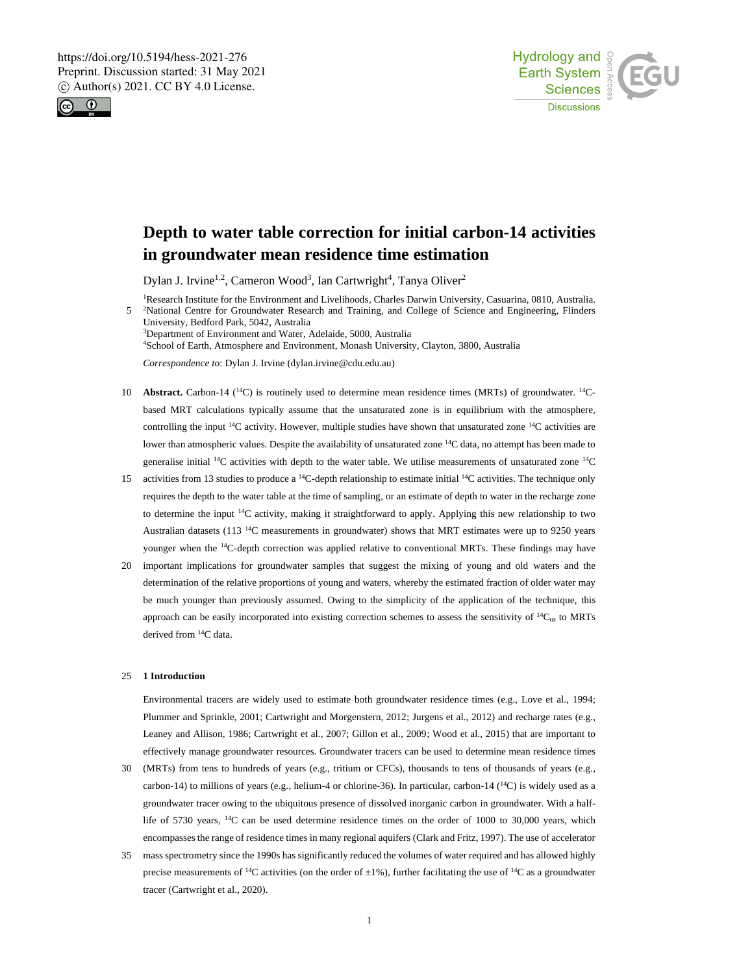



# **Depth to water table correction for initial carbon-14 activities in groundwater mean residence time estimation**

Dylan J. Irvine<sup>1,2</sup>, Cameron Wood<sup>3</sup>, Ian Cartwright<sup>4</sup>, Tanya Oliver<sup>2</sup>

<sup>1</sup>Research Institute for the Environment and Livelihoods, Charles Darwin University, Casuarina, 0810, Australia. 5 <sup>2</sup>National Centre for Groundwater Research and Training, and College of Science and Engineering, Flinders University, Bedford Park, 5042, Australia <sup>3</sup>Department of Environment and Water, Adelaide, 5000, Australia <sup>4</sup>School of Earth, Atmosphere and Environment, Monash University, Clayton, 3800, Australia

*Correspondence to*: Dylan J. Irvine (dylan.irvine@cdu.edu.au)

- 10 **Abstract.** Carbon-14 (<sup>14</sup>C) is routinely used to determine mean residence times (MRTs) of groundwater. <sup>14</sup>Cbased MRT calculations typically assume that the unsaturated zone is in equilibrium with the atmosphere, controlling the input <sup>14</sup>C activity. However, multiple studies have shown that unsaturated zone <sup>14</sup>C activities are lower than atmospheric values. Despite the availability of unsaturated zone <sup>14</sup>C data, no attempt has been made to generalise initial  $^{14}$ C activities with depth to the water table. We utilise measurements of unsaturated zone  $^{14}$ C
- 15 activities from 13 studies to produce a  $14C$ -depth relationship to estimate initial  $14C$  activities. The technique only requires the depth to the water table at the time of sampling, or an estimate of depth to water in the recharge zone to determine the input <sup>14</sup>C activity, making it straightforward to apply. Applying this new relationship to two Australian datasets (113<sup>14</sup>C measurements in groundwater) shows that MRT estimates were up to 9250 years younger when the <sup>14</sup>C-depth correction was applied relative to conventional MRTs. These findings may have
- 20 important implications for groundwater samples that suggest the mixing of young and old waters and the determination of the relative proportions of young and waters, whereby the estimated fraction of older water may be much younger than previously assumed. Owing to the simplicity of the application of the technique, this approach can be easily incorporated into existing correction schemes to assess the sensitivity of  $\frac{14C_{uz}}{2}$  to MRTs derived from <sup>14</sup>C data.

# 25 **1 Introduction**

Environmental tracers are widely used to estimate both groundwater residence times (e.g., Love et al., 1994; Plummer and Sprinkle, 2001; Cartwright and Morgenstern, 2012; Jurgens et al., 2012) and recharge rates (e.g., Leaney and Allison, 1986; Cartwright et al., 2007; Gillon et al., 2009; Wood et al., 2015) that are important to effectively manage groundwater resources. Groundwater tracers can be used to determine mean residence times

- 30 (MRTs) from tens to hundreds of years (e.g., tritium or CFCs), thousands to tens of thousands of years (e.g., carbon-14) to millions of years (e.g., helium-4 or chlorine-36). In particular, carbon-14 ( $^{14}$ C) is widely used as a groundwater tracer owing to the ubiquitous presence of dissolved inorganic carbon in groundwater. With a halflife of 5730 years,  $^{14}$ C can be used determine residence times on the order of 1000 to 30,000 years, which encompasses the range of residence times in many regional aquifers (Clark and Fritz, 1997). The use of accelerator
- 35 mass spectrometry since the 1990s has significantly reduced the volumes of water required and has allowed highly precise measurements of <sup>14</sup>C activities (on the order of  $\pm 1\%$ ), further facilitating the use of <sup>14</sup>C as a groundwater tracer (Cartwright et al., 2020).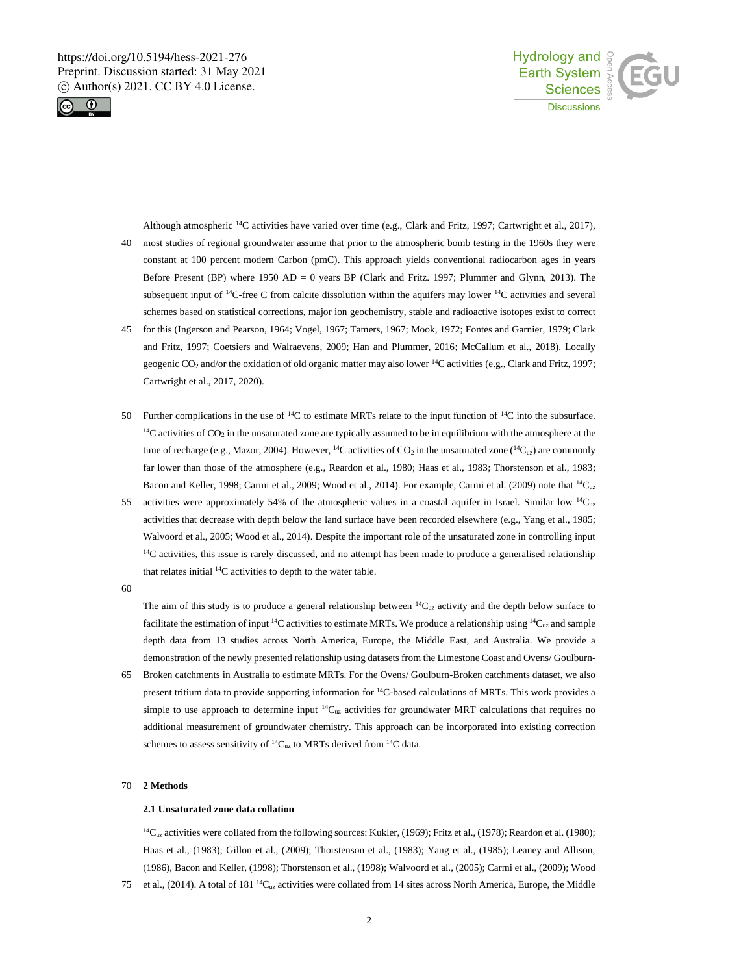



Although atmospheric <sup>14</sup>C activities have varied over time (e.g., Clark and Fritz, 1997; Cartwright et al., 2017), 40 most studies of regional groundwater assume that prior to the atmospheric bomb testing in the 1960s they were constant at 100 percent modern Carbon (pmC). This approach yields conventional radiocarbon ages in years Before Present (BP) where 1950 AD = 0 years BP (Clark and Fritz. 1997; Plummer and Glynn, 2013). The subsequent input of  $14C$ -free C from calcite dissolution within the aquifers may lower  $14C$  activities and several schemes based on statistical corrections, major ion geochemistry, stable and radioactive isotopes exist to correct

- 45 for this (Ingerson and Pearson, 1964; Vogel, 1967; Tamers, 1967; Mook, 1972; Fontes and Garnier, 1979; Clark and Fritz, 1997; Coetsiers and Walraevens, 2009; Han and Plummer, 2016; McCallum et al., 2018). Locally geogenic CO<sup>2</sup> and/or the oxidation of old organic matter may also lower <sup>14</sup>C activities (e.g., Clark and Fritz, 1997; Cartwright et al., 2017, 2020).
- 50 Further complications in the use of  $14C$  to estimate MRTs relate to the input function of  $14C$  into the subsurface.  $14C$  activities of  $CO<sub>2</sub>$  in the unsaturated zone are typically assumed to be in equilibrium with the atmosphere at the time of recharge (e.g., Mazor, 2004). However, <sup>14</sup>C activities of CO<sub>2</sub> in the unsaturated zone (<sup>14</sup>C<sub>uz</sub>) are commonly far lower than those of the atmosphere (e.g., Reardon et al., 1980; Haas et al., 1983; Thorstenson et al., 1983; Bacon and Keller, 1998; Carmi et al., 2009; Wood et al., 2014). For example, Carmi et al. (2009) note that  $^{14}C_{uz}$
- 55 activities were approximately 54% of the atmospheric values in a coastal aquifer in Israel. Similar low  ${}^{14}C_{uz}$ activities that decrease with depth below the land surface have been recorded elsewhere (e.g., Yang et al., 1985; Walvoord et al., 2005; Wood et al., 2014). Despite the important role of the unsaturated zone in controlling input  $14C$  activities, this issue is rarely discussed, and no attempt has been made to produce a generalised relationship that relates initial <sup>14</sup>C activities to depth to the water table.
- 60

The aim of this study is to produce a general relationship between  ${}^{14}C_{uz}$  activity and the depth below surface to facilitate the estimation of input  $^{14}C$  activities to estimate MRTs. We produce a relationship using  $^{14}C_{uz}$  and sample depth data from 13 studies across North America, Europe, the Middle East, and Australia. We provide a demonstration of the newly presented relationship using datasets from the Limestone Coast and Ovens/ Goulburn-

65 Broken catchments in Australia to estimate MRTs. For the Ovens/ Goulburn-Broken catchments dataset, we also present tritium data to provide supporting information for <sup>14</sup>C-based calculations of MRTs. This work provides a simple to use approach to determine input  ${}^{14}C_{uz}$  activities for groundwater MRT calculations that requires no additional measurement of groundwater chemistry. This approach can be incorporated into existing correction schemes to assess sensitivity of  ${}^{14}C_{uz}$  to MRTs derived from  ${}^{14}C$  data.

# 70 **2 Methods**

# **2.1 Unsaturated zone data collation**

 $14C_{uz}$  activities were collated from the following sources: Kukler, (1969); Fritz et al., (1978); Reardon et al. (1980); Haas et al., (1983); Gillon et al., (2009); Thorstenson et al., (1983); Yang et al., (1985); Leaney and Allison, (1986), Bacon and Keller, (1998); Thorstenson et al., (1998); Walvoord et al., (2005); Carmi et al., (2009); Wood 75 et al., (2014). A total of 181 <sup>14</sup>C<sub>uz</sub> activities were collated from 14 sites across North America, Europe, the Middle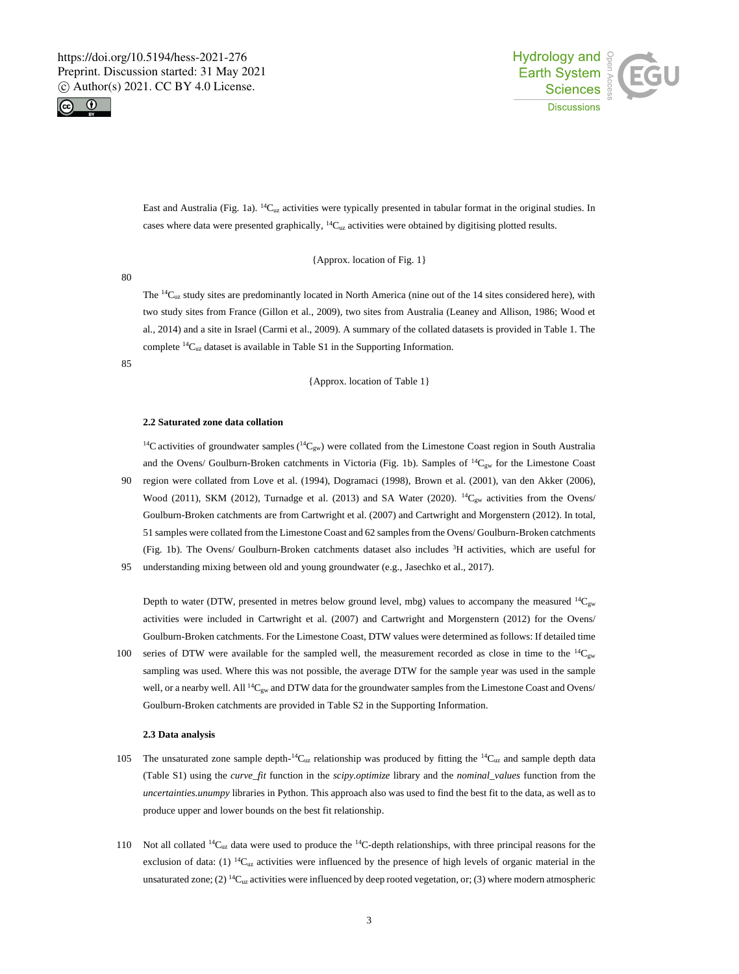



East and Australia (Fig. 1a). <sup>14</sup>C<sub>uz</sub> activities were typically presented in tabular format in the original studies. In cases where data were presented graphically, <sup>14</sup>C<sub>uz</sub> activities were obtained by digitising plotted results.

{Approx. location of Fig. 1}

80

The  ${}^{14}C_{uz}$  study sites are predominantly located in North America (nine out of the 14 sites considered here), with two study sites from France (Gillon et al., 2009), two sites from Australia (Leaney and Allison, 1986; Wood et al., 2014) and a site in Israel (Carmi et al., 2009). A summary of the collated datasets is provided in Table 1. The complete <sup>14</sup>Cuz dataset is available in Table S1 in the Supporting Information.

85

{Approx. location of Table 1}

### **2.2 Saturated zone data collation**

<sup>14</sup>C activities of groundwater samples ( ${}^{14}C_{gw}$ ) were collated from the Limestone Coast region in South Australia and the Ovens/ Goulburn-Broken catchments in Victoria (Fig. 1b). Samples of  ${}^{14}C_{gw}$  for the Limestone Coast 90 region were collated from Love et al. (1994), Dogramaci (1998), Brown et al. (2001), van den Akker (2006),

Wood (2011), SKM (2012), Turnadge et al. (2013) and SA Water (2020). <sup>14</sup>C<sub>gw</sub> activities from the Ovens/ Goulburn-Broken catchments are from Cartwright et al. (2007) and Cartwright and Morgenstern (2012). In total, 51 samples were collated from the Limestone Coast and 62 samples from the Ovens/ Goulburn-Broken catchments (Fig. 1b). The Ovens/ Goulburn-Broken catchments dataset also includes <sup>3</sup>H activities, which are useful for 95 understanding mixing between old and young groundwater (e.g., Jasechko et al., 2017).

Depth to water (DTW, presented in metres below ground level, mbg) values to accompany the measured  ${}^{14}C_{gw}$ activities were included in Cartwright et al. (2007) and Cartwright and Morgenstern (2012) for the Ovens/ Goulburn-Broken catchments. For the Limestone Coast, DTW values were determined as follows: If detailed time

100 series of DTW were available for the sampled well, the measurement recorded as close in time to the  $^{14}C_{gw}$ sampling was used. Where this was not possible, the average DTW for the sample year was used in the sample well, or a nearby well. All <sup>14</sup>C<sub>gw</sub> and DTW data for the groundwater samples from the Limestone Coast and Ovens/ Goulburn-Broken catchments are provided in Table S2 in the Supporting Information.

#### **2.3 Data analysis**

- 105 The unsaturated zone sample depth- $14C_{uz}$  relationship was produced by fitting the  $14C_{uz}$  and sample depth data (Table S1) using the *curve\_fit* function in the *scipy.optimize* library and the *nominal\_values* function from the *uncertainties.unumpy* libraries in Python. This approach also was used to find the best fit to the data, as well as to produce upper and lower bounds on the best fit relationship.
- 110 Not all collated  ${}^{14}C_{uz}$  data were used to produce the  ${}^{14}C$ -depth relationships, with three principal reasons for the exclusion of data: (1)  ${}^{14}C_{uz}$  activities were influenced by the presence of high levels of organic material in the unsaturated zone; (2)  ${}^{14}C_{uz}$  activities were influenced by deep rooted vegetation, or; (3) where modern atmospheric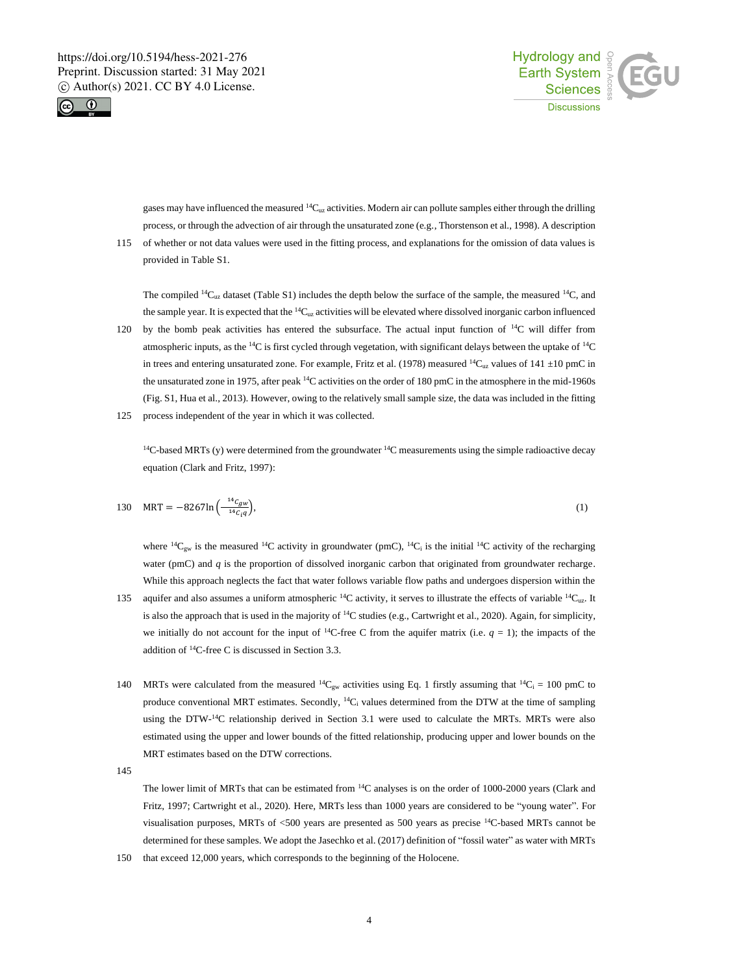



gases may have influenced the measured <sup>14</sup>C<sub>uz</sub> activities. Modern air can pollute samples either through the drilling process, or through the advection of air through the unsaturated zone (e.g., Thorstenson et al., 1998). A description

115 of whether or not data values were used in the fitting process, and explanations for the omission of data values is provided in Table S1.

The compiled  $14C_{uz}$  dataset (Table S1) includes the depth below the surface of the sample, the measured  $14C$ , and the sample year. It is expected that the  $^{14}C_{uz}$  activities will be elevated where dissolved inorganic carbon influenced

120 by the bomb peak activities has entered the subsurface. The actual input function of  $14C$  will differ from atmospheric inputs, as the <sup>14</sup>C is first cycled through vegetation, with significant delays between the uptake of <sup>14</sup>C in trees and entering unsaturated zone. For example, Fritz et al. (1978) measured <sup>14</sup>C<sub>uz</sub> values of 141  $\pm$ 10 pmC in the unsaturated zone in 1975, after peak <sup>14</sup>C activities on the order of 180 pmC in the atmosphere in the mid-1960s (Fig. S1, Hua et al., 2013). However, owing to the relatively small sample size, the data was included in the fitting 125 process independent of the year in which it was collected.

 $14C$ -based MRTs (y) were determined from the groundwater  $14C$  measurements using the simple radioactive decay equation (Clark and Fritz, 1997):

130 MRT = 
$$
-8267\ln\left(\frac{14c_{gw}}{14c_{l}q}\right),
$$
 (1)

where  ${}^{14}C_{gw}$  is the measured  ${}^{14}C$  activity in groundwater (pmC),  ${}^{14}C_i$  is the initial  ${}^{14}C$  activity of the recharging water (pmC) and *q* is the proportion of dissolved inorganic carbon that originated from groundwater recharge. While this approach neglects the fact that water follows variable flow paths and undergoes dispersion within the

- 135 aquifer and also assumes a uniform atmospheric  ${}^{14}C$  activity, it serves to illustrate the effects of variable  ${}^{14}C_{uz}$ . It is also the approach that is used in the majority of  $^{14}C$  studies (e.g., Cartwright et al., 2020). Again, for simplicity, we initially do not account for the input of <sup>14</sup>C-free C from the aquifer matrix (i.e.  $q = 1$ ); the impacts of the addition of <sup>14</sup>C-free C is discussed in Section 3.3.
- 140 MRTs were calculated from the measured <sup>14</sup>C<sub>gw</sub> activities using Eq. 1 firstly assuming that <sup>14</sup>C<sub>i</sub> = 100 pmC to produce conventional MRT estimates. Secondly,  ${}^{14}C_1$  values determined from the DTW at the time of sampling using the DTW-<sup>14</sup>C relationship derived in Section 3.1 were used to calculate the MRTs. MRTs were also estimated using the upper and lower bounds of the fitted relationship, producing upper and lower bounds on the MRT estimates based on the DTW corrections.

145

The lower limit of MRTs that can be estimated from <sup>14</sup>C analyses is on the order of 1000-2000 years (Clark and Fritz, 1997; Cartwright et al., 2020). Here, MRTs less than 1000 years are considered to be "young water". For visualisation purposes, MRTs of <500 years are presented as 500 years as precise <sup>14</sup>C-based MRTs cannot be determined for these samples. We adopt the Jasechko et al. (2017) definition of "fossil water" as water with MRTs

150 that exceed 12,000 years, which corresponds to the beginning of the Holocene.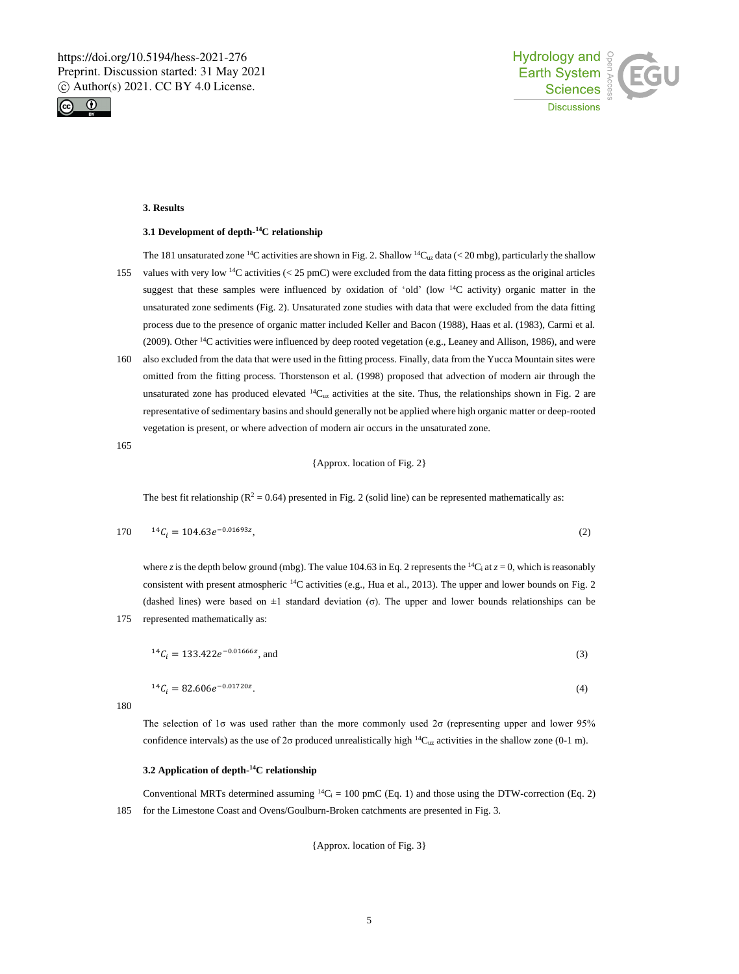



# **3. Results**

#### **3.1 Development of depth-<sup>14</sup>C relationship**

The 181 unsaturated zone <sup>14</sup>C activities are shown in Fig. 2. Shallow <sup>14</sup>C<sub>uz</sub> data (< 20 mbg), particularly the shallow

- 155 values with very low  $^{14}$ C activities (< 25 pmC) were excluded from the data fitting process as the original articles suggest that these samples were influenced by oxidation of 'old' (low  $14C$  activity) organic matter in the unsaturated zone sediments (Fig. 2). Unsaturated zone studies with data that were excluded from the data fitting process due to the presence of organic matter included Keller and Bacon (1988), Haas et al. (1983), Carmi et al. (2009). Other  $14C$  activities were influenced by deep rooted vegetation (e.g., Leaney and Allison, 1986), and were
- 160 also excluded from the data that were used in the fitting process. Finally, data from the Yucca Mountain sites were omitted from the fitting process. Thorstenson et al. (1998) proposed that advection of modern air through the unsaturated zone has produced elevated  ${}^{14}C_{uz}$  activities at the site. Thus, the relationships shown in Fig. 2 are representative of sedimentary basins and should generally not be applied where high organic matter or deep-rooted vegetation is present, or where advection of modern air occurs in the unsaturated zone.

165

{Approx. location of Fig. 2}

The best fit relationship ( $\mathbb{R}^2 = 0.64$ ) presented in Fig. 2 (solid line) can be represented mathematically as:

$$
170 \t 14C_i = 104.63e^{-0.01693z}, \t (2)
$$

where *z* is the depth below ground (mbg). The value 104.63 in Eq. 2 represents the <sup>14</sup>C<sub>i</sub> at *z* = 0, which is reasonably consistent with present atmospheric <sup>14</sup>C activities (e.g., Hua et al., 2013). The upper and lower bounds on Fig. 2 (dashed lines) were based on  $\pm 1$  standard deviation (σ). The upper and lower bounds relationships can be 175 represented mathematically as:

$$
{}^{14}C_i = 133.422e^{-0.01666z}, \text{ and} \tag{3}
$$

$$
{}^{14}C_i = 82.606e^{-0.01720z}.\tag{4}
$$

180

The selection of 1σ was used rather than the more commonly used 2σ (representing upper and lower 95% confidence intervals) as the use of 2σ produced unrealistically high  $\frac{14C_{uz}}{2}$  activities in the shallow zone (0-1 m).

#### **3.2 Application of depth-<sup>14</sup>C relationship**

Conventional MRTs determined assuming  ${}^{14}C_i = 100$  pmC (Eq. 1) and those using the DTW-correction (Eq. 2) 185 for the Limestone Coast and Ovens/Goulburn-Broken catchments are presented in Fig. 3.

{Approx. location of Fig. 3}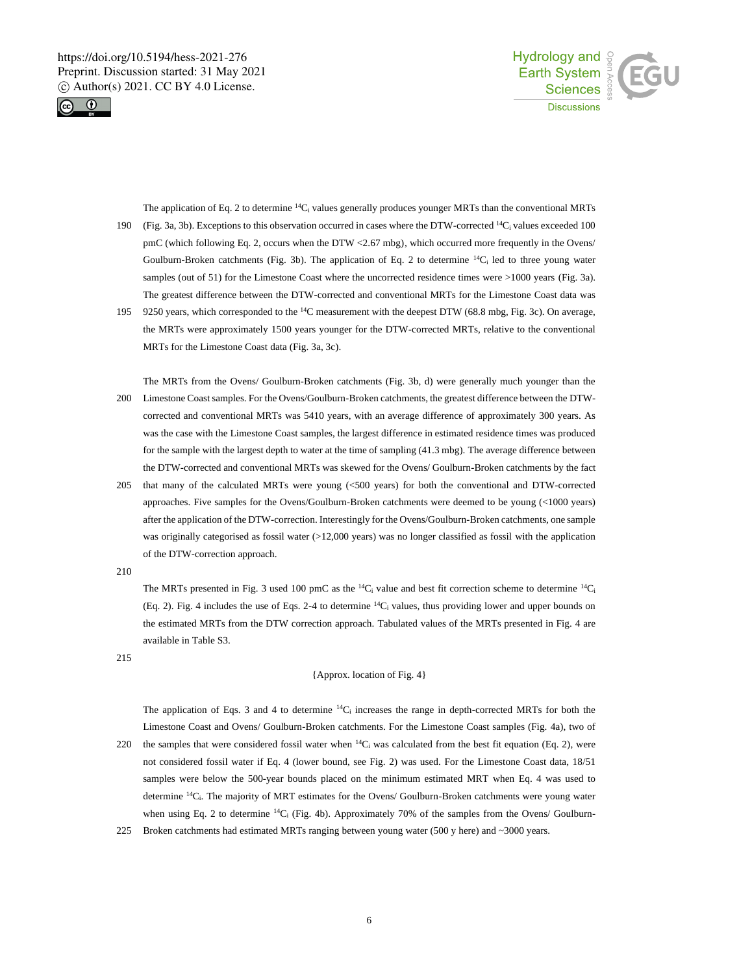



The application of Eq. 2 to determine <sup>14</sup>C<sub>i</sub> values generally produces younger MRTs than the conventional MRTs (Fig. 3a, 3b). Exceptions to this observation occurred in cases where the DTW-corrected  $^{14}C_i$  values exceeded 100 pmC (which following Eq. 2, occurs when the DTW <2.67 mbg), which occurred more frequently in the Ovens/ Goulburn-Broken catchments (Fig. 3b). The application of Eq. 2 to determine <sup>14</sup>C<sub>i</sub> led to three young water samples (out of 51) for the Limestone Coast where the uncorrected residence times were >1000 years (Fig. 3a). The greatest difference between the DTW-corrected and conventional MRTs for the Limestone Coast data was

9250 years, which corresponded to the  $^{14}$ C measurement with the deepest DTW (68.8 mbg, Fig. 3c). On average, the MRTs were approximately 1500 years younger for the DTW-corrected MRTs, relative to the conventional MRTs for the Limestone Coast data (Fig. 3a, 3c).

The MRTs from the Ovens/ Goulburn-Broken catchments (Fig. 3b, d) were generally much younger than the 200 Limestone Coast samples. For the Ovens/Goulburn-Broken catchments, the greatest difference between the DTWcorrected and conventional MRTs was 5410 years, with an average difference of approximately 300 years. As was the case with the Limestone Coast samples, the largest difference in estimated residence times was produced for the sample with the largest depth to water at the time of sampling (41.3 mbg). The average difference between the DTW-corrected and conventional MRTs was skewed for the Ovens/ Goulburn-Broken catchments by the fact

205 that many of the calculated MRTs were young (<500 years) for both the conventional and DTW-corrected approaches. Five samples for the Ovens/Goulburn-Broken catchments were deemed to be young (<1000 years) after the application of the DTW-correction. Interestingly for the Ovens/Goulburn-Broken catchments, one sample was originally categorised as fossil water (>12,000 years) was no longer classified as fossil with the application of the DTW-correction approach.

210

The MRTs presented in Fig. 3 used 100 pmC as the  ${}^{14}C_1$  value and best fit correction scheme to determine  ${}^{14}C_1$ (Eq. 2). Fig. 4 includes the use of Eqs. 2-4 to determine  $14C_i$  values, thus providing lower and upper bounds on the estimated MRTs from the DTW correction approach. Tabulated values of the MRTs presented in Fig. 4 are available in Table S3.

215

# {Approx. location of Fig. 4}

The application of Eqs. 3 and 4 to determine  ${}^{14}C_i$  increases the range in depth-corrected MRTs for both the Limestone Coast and Ovens/ Goulburn-Broken catchments. For the Limestone Coast samples (Fig. 4a), two of

- 220 the samples that were considered fossil water when  $14C_i$  was calculated from the best fit equation (Eq. 2), were not considered fossil water if Eq. 4 (lower bound, see Fig. 2) was used. For the Limestone Coast data, 18/51 samples were below the 500-year bounds placed on the minimum estimated MRT when Eq. 4 was used to determine <sup>14</sup>Ci. The majority of MRT estimates for the Ovens/ Goulburn-Broken catchments were young water when using Eq. 2 to determine  ${}^{14}C_i$  (Fig. 4b). Approximately 70% of the samples from the Ovens/ Goulburn-
- 225 Broken catchments had estimated MRTs ranging between young water (500 y here) and ~3000 years.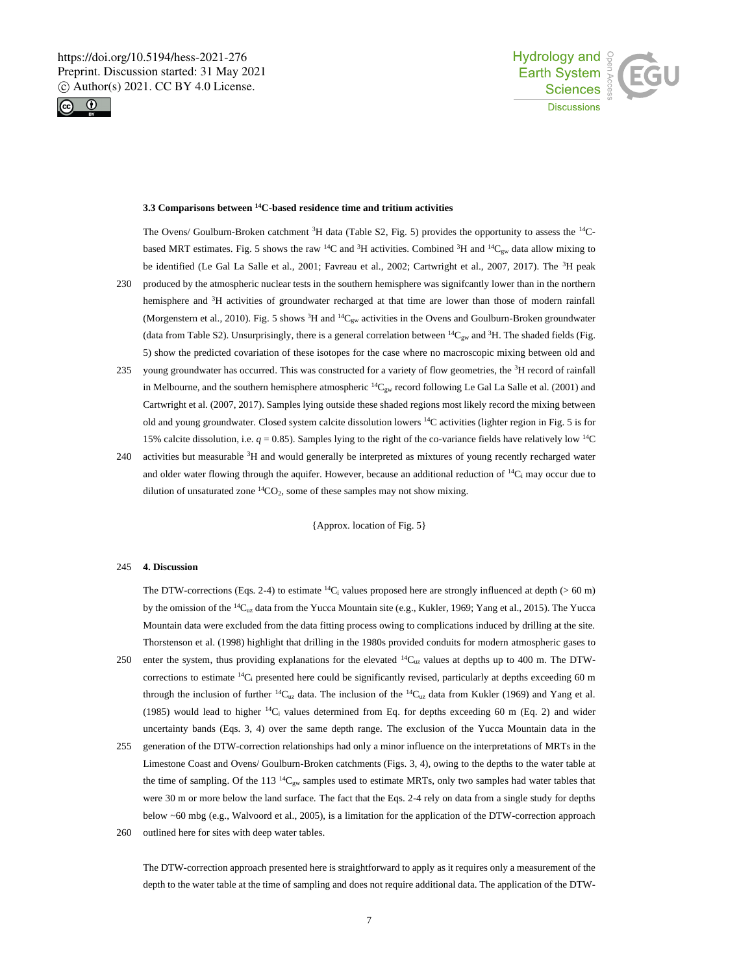



# **3.3 Comparisons between <sup>14</sup>C-based residence time and tritium activities**

The Ovens/ Goulburn-Broken catchment <sup>3</sup>H data (Table S2, Fig. 5) provides the opportunity to assess the <sup>14</sup>Cbased MRT estimates. Fig. 5 shows the raw <sup>14</sup>C and <sup>3</sup>H activities. Combined <sup>3</sup>H and <sup>14</sup>C<sub>gw</sub> data allow mixing to be identified (Le Gal La Salle et al., 2001; Favreau et al., 2002; Cartwright et al., 2007, 2017). The <sup>3</sup>H peak 230 produced by the atmospheric nuclear tests in the southern hemisphere was signifcantly lower than in the northern

- hemisphere and <sup>3</sup>H activities of groundwater recharged at that time are lower than those of modern rainfall (Morgenstern et al., 2010). Fig. 5 shows <sup>3</sup>H and <sup>14</sup>C<sub>gw</sub> activities in the Ovens and Goulburn-Broken groundwater (data from Table S2). Unsurprisingly, there is a general correlation between  ${}^{14}C_{gw}$  and  ${}^{3}H$ . The shaded fields (Fig. 5) show the predicted covariation of these isotopes for the case where no macroscopic mixing between old and
- 235 young groundwater has occurred. This was constructed for a variety of flow geometries, the <sup>3</sup>H record of rainfall in Melbourne, and the southern hemisphere atmospheric <sup>14</sup>C<sub>gw</sub> record following Le Gal La Salle et al. (2001) and Cartwright et al. (2007, 2017). Samples lying outside these shaded regions most likely record the mixing between old and young groundwater. Closed system calcite dissolution lowers  $^{14}$ C activities (lighter region in Fig. 5 is for 15% calcite dissolution, i.e.  $q = 0.85$ ). Samples lying to the right of the co-variance fields have relatively low <sup>14</sup>C
- 240 activities but measurable  ${}^{3}H$  and would generally be interpreted as mixtures of young recently recharged water and older water flowing through the aquifer. However, because an additional reduction of  ${}^{14}C_1$  may occur due to dilution of unsaturated zone  ${}^{14}CO_2$ , some of these samples may not show mixing.

{Approx. location of Fig. 5}

#### 245 **4. Discussion**

The DTW-corrections (Eqs. 2-4) to estimate <sup>14</sup>C<sub>i</sub> values proposed here are strongly influenced at depth (> 60 m) by the omission of the <sup>14</sup>Cuz data from the Yucca Mountain site (e.g., Kukler, 1969; Yang et al., 2015). The Yucca Mountain data were excluded from the data fitting process owing to complications induced by drilling at the site. Thorstenson et al. (1998) highlight that drilling in the 1980s provided conduits for modern atmospheric gases to

- 250 enter the system, thus providing explanations for the elevated  $^{14}$ C<sub>uz</sub> values at depths up to 400 m. The DTWcorrections to estimate  ${}^{14}C_i$  presented here could be significantly revised, particularly at depths exceeding 60 m through the inclusion of further  $14C_{uz}$  data. The inclusion of the  $14C_{uz}$  data from Kukler (1969) and Yang et al. (1985) would lead to higher  $14C_i$  values determined from Eq. for depths exceeding 60 m (Eq. 2) and wider uncertainty bands (Eqs. 3, 4) over the same depth range. The exclusion of the Yucca Mountain data in the
- 255 generation of the DTW-correction relationships had only a minor influence on the interpretations of MRTs in the Limestone Coast and Ovens/ Goulburn-Broken catchments (Figs. 3, 4), owing to the depths to the water table at the time of sampling. Of the 113  ${}^{14}C_{gw}$  samples used to estimate MRTs, only two samples had water tables that were 30 m or more below the land surface. The fact that the Eqs. 2-4 rely on data from a single study for depths below ~60 mbg (e.g., Walvoord et al., 2005), is a limitation for the application of the DTW-correction approach
- 260 outlined here for sites with deep water tables.

The DTW-correction approach presented here is straightforward to apply as it requires only a measurement of the depth to the water table at the time of sampling and does not require additional data. The application of the DTW-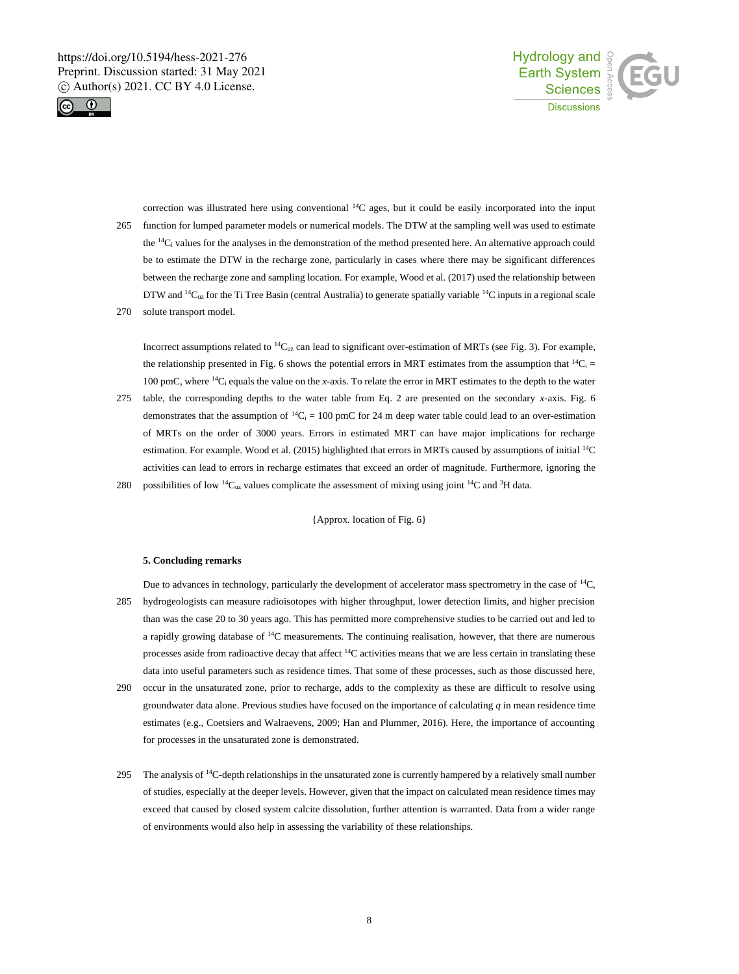



correction was illustrated here using conventional <sup>14</sup>C ages, but it could be easily incorporated into the input 265 function for lumped parameter models or numerical models. The DTW at the sampling well was used to estimate the  $^{14}C_1$  values for the analyses in the demonstration of the method presented here. An alternative approach could be to estimate the DTW in the recharge zone, particularly in cases where there may be significant differences between the recharge zone and sampling location. For example, Wood et al. (2017) used the relationship between DTW and <sup>14</sup>C<sub>uz</sub> for the Ti Tree Basin (central Australia) to generate spatially variable <sup>14</sup>C inputs in a regional scale

270 solute transport model.

Incorrect assumptions related to  $14C_{uz}$  can lead to significant over-estimation of MRTs (see Fig. 3). For example, the relationship presented in Fig. 6 shows the potential errors in MRT estimates from the assumption that  ${}^{14}C_i =$ 100 pmC, where <sup>14</sup>C<sup>i</sup> equals the value on the *x*-axis. To relate the error in MRT estimates to the depth to the water

- 275 table, the corresponding depths to the water table from Eq. 2 are presented on the secondary *x*-axis. Fig. 6 demonstrates that the assumption of  ${}^{14}C_1 = 100$  pmC for 24 m deep water table could lead to an over-estimation of MRTs on the order of 3000 years. Errors in estimated MRT can have major implications for recharge estimation. For example. Wood et al. (2015) highlighted that errors in MRTs caused by assumptions of initial <sup>14</sup>C activities can lead to errors in recharge estimates that exceed an order of magnitude. Furthermore, ignoring the
- 280 possibilities of low  ${}^{14}C_{uz}$  values complicate the assessment of mixing using joint  ${}^{14}C$  and  ${}^{3}H$  data.

{Approx. location of Fig. 6}

### **5. Concluding remarks**

Due to advances in technology, particularly the development of accelerator mass spectrometry in the case of <sup>14</sup>C, 285 hydrogeologists can measure radioisotopes with higher throughput, lower detection limits, and higher precision than was the case 20 to 30 years ago. This has permitted more comprehensive studies to be carried out and led to a rapidly growing database of <sup>14</sup>C measurements. The continuing realisation, however, that there are numerous processes aside from radioactive decay that affect  ${}^{14}C$  activities means that we are less certain in translating these data into useful parameters such as residence times. That some of these processes, such as those discussed here,

- 290 occur in the unsaturated zone, prior to recharge, adds to the complexity as these are difficult to resolve using groundwater data alone. Previous studies have focused on the importance of calculating *q* in mean residence time estimates (e.g., Coetsiers and Walraevens, 2009; Han and Plummer, 2016). Here, the importance of accounting for processes in the unsaturated zone is demonstrated.
- 295 The analysis of  $14C$ -depth relationships in the unsaturated zone is currently hampered by a relatively small number of studies, especially at the deeper levels. However, given that the impact on calculated mean residence times may exceed that caused by closed system calcite dissolution, further attention is warranted. Data from a wider range of environments would also help in assessing the variability of these relationships.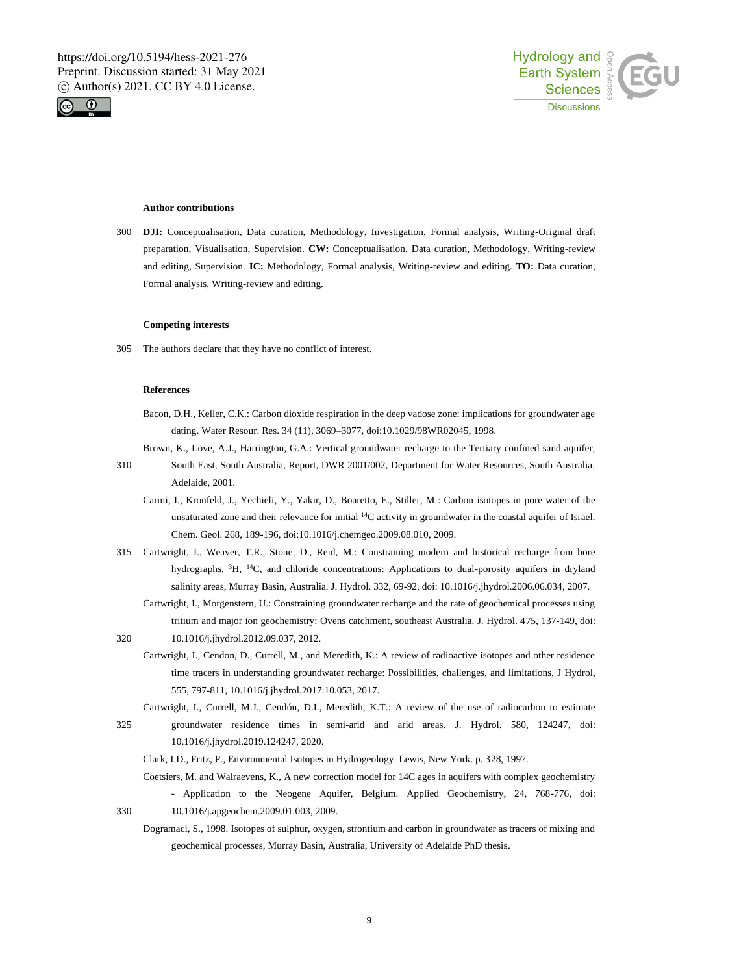



#### **Author contributions**

300 **DJI:** Conceptualisation, Data curation, Methodology, Investigation, Formal analysis, Writing-Original draft preparation, Visualisation, Supervision. **CW:** Conceptualisation, Data curation, Methodology, Writing-review and editing, Supervision. **IC:** Methodology, Formal analysis, Writing-review and editing. **TO:** Data curation, Formal analysis, Writing-review and editing.

#### **Competing interests**

305 The authors declare that they have no conflict of interest.

#### **References**

- Bacon, D.H., Keller, C.K.: Carbon dioxide respiration in the deep vadose zone: implications for groundwater age dating. Water Resour. Res. 34 (11), 3069–3077, doi:10.1029/98WR02045, 1998.
- Brown, K., Love, A.J., Harrington, G.A.: Vertical groundwater recharge to the Tertiary confined sand aquifer,
- 310 South East, South Australia, Report, DWR 2001/002, Department for Water Resources, South Australia, Adelaide, 2001.
	- Carmi, I., Kronfeld, J., Yechieli, Y., Yakir, D., Boaretto, E., Stiller, M.: Carbon isotopes in pore water of the unsaturated zone and their relevance for initial <sup>14</sup>C activity in groundwater in the coastal aquifer of Israel. Chem. Geol. 268, 189-196, doi:10.1016/j.chemgeo.2009.08.010, 2009.
- 315 Cartwright, I., Weaver, T.R., Stone, D., Reid, M.: Constraining modern and historical recharge from bore hydrographs, <sup>3</sup>H, <sup>14</sup>C, and chloride concentrations: Applications to dual-porosity aquifers in dryland salinity areas, Murray Basin, Australia. J. Hydrol. 332, 69-92, doi: 10.1016/j.jhydrol.2006.06.034, 2007.
	- Cartwright, I., Morgenstern, U.: Constraining groundwater recharge and the rate of geochemical processes using tritium and major ion geochemistry: Ovens catchment, southeast Australia. J. Hydrol. 475, 137-149, doi:
- 320 10.1016/j.jhydrol.2012.09.037, 2012.
	- Cartwright, I., Cendon, D., Currell, M., and Meredith, K.: A review of radioactive isotopes and other residence time tracers in understanding groundwater recharge: Possibilities, challenges, and limitations, J Hydrol, 555, 797-811, 10.1016/j.jhydrol.2017.10.053, 2017.
	- Cartwright, I., Currell, M.J., Cendón, D.I., Meredith, K.T.: A review of the use of radiocarbon to estimate
- 325 groundwater residence times in semi-arid and arid areas. J. Hydrol. 580, 124247, doi: 10.1016/j.jhydrol.2019.124247, 2020.
	- Clark, I.D., Fritz, P., Environmental Isotopes in Hydrogeology. Lewis, New York. p. 328, 1997.

Coetsiers, M. and Walraevens, K., A new correction model for 14C ages in aquifers with complex geochemistry - Application to the Neogene Aquifer, Belgium. Applied Geochemistry, 24, 768-776, doi: 330 10.1016/j.apgeochem.2009.01.003, 2009.

- - Dogramaci, S., 1998. Isotopes of sulphur, oxygen, strontium and carbon in groundwater as tracers of mixing and geochemical processes, Murray Basin, Australia, University of Adelaide PhD thesis.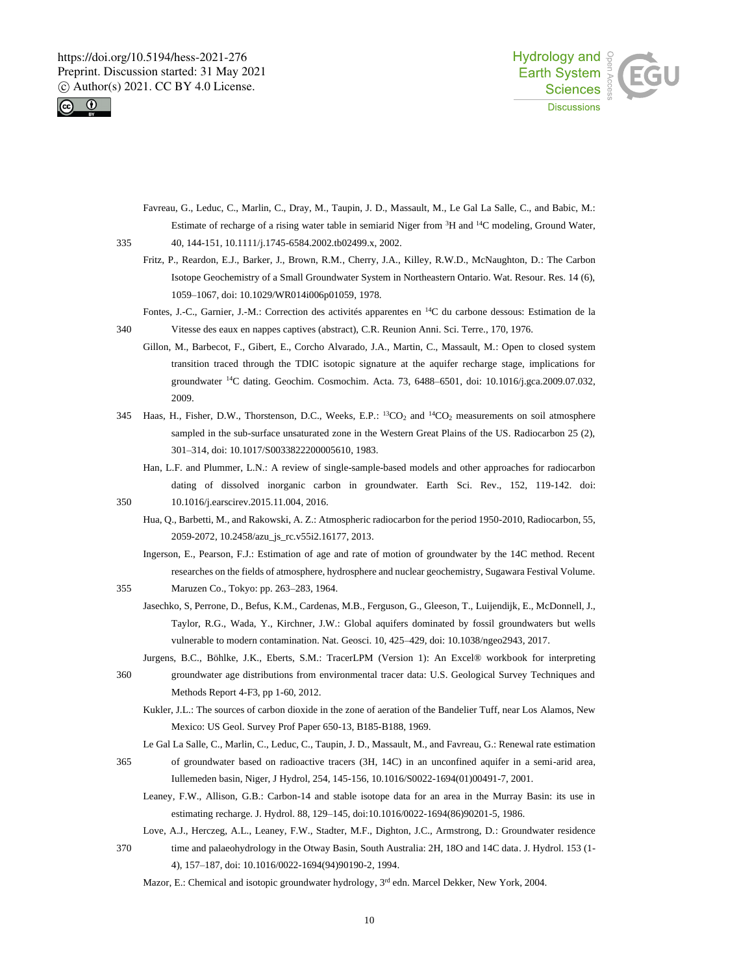



- Favreau, G., Leduc, C., Marlin, C., Dray, M., Taupin, J. D., Massault, M., Le Gal La Salle, C., and Babic, M.: Estimate of recharge of a rising water table in semiarid Niger from <sup>3</sup>H and <sup>14</sup>C modeling, Ground Water, 335 40, 144-151, 10.1111/j.1745-6584.2002.tb02499.x, 2002.
- 

Fritz, P., Reardon, E.J., Barker, J., Brown, R.M., Cherry, J.A., Killey, R.W.D., McNaughton, D.: The Carbon Isotope Geochemistry of a Small Groundwater System in Northeastern Ontario. Wat. Resour. Res. 14 (6), 1059–1067, doi: 10.1029/WR014i006p01059, 1978.

Fontes, J.-C., Garnier, J.-M.: Correction des activités apparentes en <sup>14</sup>C du carbone dessous: Estimation de la

340 Vitesse des eaux en nappes captives (abstract), C.R. Reunion Anni. Sci. Terre., 170, 1976.

Gillon, M., Barbecot, F., Gibert, E., Corcho Alvarado, J.A., Martin, C., Massault, M.: Open to closed system transition traced through the TDIC isotopic signature at the aquifer recharge stage, implications for groundwater <sup>14</sup>C dating. Geochim. Cosmochim. Acta. 73, 6488–6501, doi: 10.1016/j.gca.2009.07.032, 2009.

- 345 Haas, H., Fisher, D.W., Thorstenson, D.C., Weeks, E.P.: <sup>13</sup>CO<sub>2</sub> and <sup>14</sup>CO<sub>2</sub> measurements on soil atmosphere sampled in the sub-surface unsaturated zone in the Western Great Plains of the US. Radiocarbon 25 (2), 301–314, doi: 10.1017/S0033822200005610, 1983.
- Han, L.F. and Plummer, L.N.: A review of single-sample-based models and other approaches for radiocarbon dating of dissolved inorganic carbon in groundwater. Earth Sci. Rev., 152, 119-142. doi: 350 10.1016/j.earscirev.2015.11.004, 2016.
	- Hua, Q., Barbetti, M., and Rakowski, A. Z.: Atmospheric radiocarbon for the period 1950-2010, Radiocarbon, 55, 2059-2072, 10.2458/azu\_js\_rc.v55i2.16177, 2013.
		- Ingerson, E., Pearson, F.J.: Estimation of age and rate of motion of groundwater by the 14C method. Recent researches on the fields of atmosphere, hydrosphere and nuclear geochemistry, Sugawara Festival Volume.
- 355 Maruzen Co., Tokyo: pp. 263–283, 1964.
	- Jasechko, S, Perrone, D., Befus, K.M., Cardenas, M.B., Ferguson, G., Gleeson, T., Luijendijk, E., McDonnell, J., Taylor, R.G., Wada, Y., Kirchner, J.W.: Global aquifers dominated by fossil groundwaters but wells vulnerable to modern contamination. Nat. Geosci. 10, 425–429, doi: 10.1038/ngeo2943, 2017.
- Jurgens, B.C., Böhlke, J.K., Eberts, S.M.: TracerLPM (Version 1): An Excel® workbook for interpreting 360 groundwater age distributions from environmental tracer data: U.S. Geological Survey Techniques and Methods Report 4-F3, pp 1-60, 2012.
	- Kukler, J.L.: The sources of carbon dioxide in the zone of aeration of the Bandelier Tuff, near Los Alamos, New Mexico: US Geol. Survey Prof Paper 650-13, B185-B188, 1969.
	- Le Gal La Salle, C., Marlin, C., Leduc, C., Taupin, J. D., Massault, M., and Favreau, G.: Renewal rate estimation
- 365 of groundwater based on radioactive tracers (3H, 14C) in an unconfined aquifer in a semi-arid area, Iullemeden basin, Niger, J Hydrol, 254, 145-156, 10.1016/S0022-1694(01)00491-7, 2001.
	- Leaney, F.W., Allison, G.B.: Carbon-14 and stable isotope data for an area in the Murray Basin: its use in estimating recharge. J. Hydrol. 88, 129–145, doi:10.1016/0022-1694(86)90201-5, 1986.
- Love, A.J., Herczeg, A.L., Leaney, F.W., Stadter, M.F., Dighton, J.C., Armstrong, D.: Groundwater residence
- 370 time and palaeohydrology in the Otway Basin, South Australia: 2H, 18O and 14C data. J. Hydrol. 153 (1- 4), 157–187, doi: 10.1016/0022-1694(94)90190-2, 1994.
	- Mazor, E.: Chemical and isotopic groundwater hydrology, 3<sup>rd</sup> edn. Marcel Dekker, New York, 2004.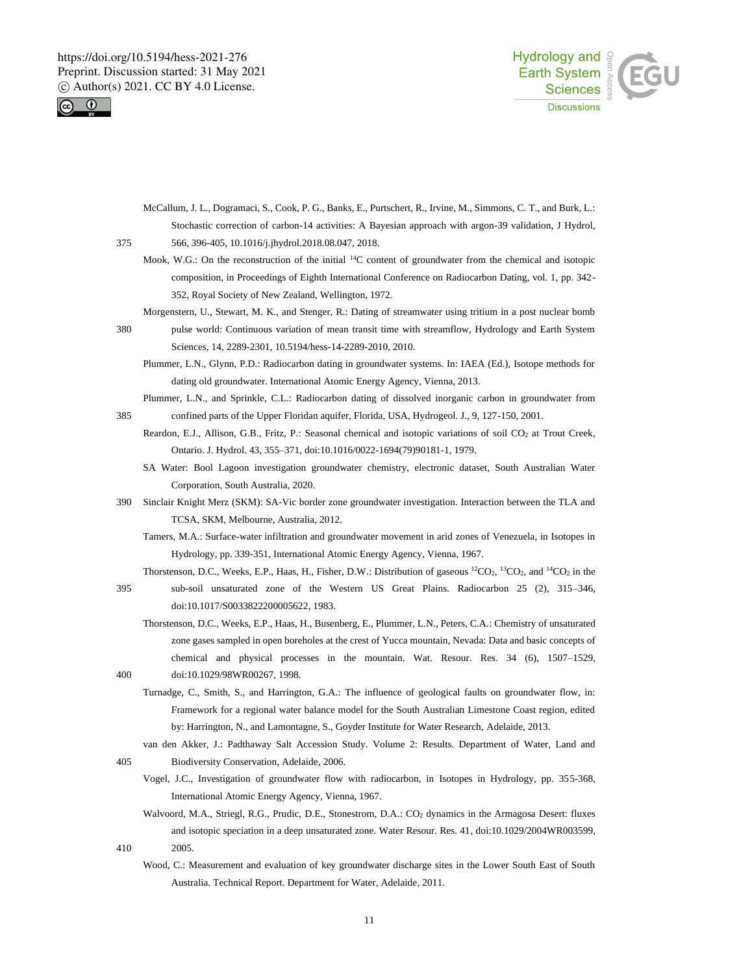



McCallum, J. L., Dogramaci, S., Cook, P. G., Banks, E., Purtschert, R., Irvine, M., Simmons, C. T., and Burk, L.: Stochastic correction of carbon-14 activities: A Bayesian approach with argon-39 validation, J Hydrol, 375 566, 396-405, 10.1016/j.jhydrol.2018.08.047, 2018.

Mook, W.G.: On the reconstruction of the initial <sup>14</sup>C content of groundwater from the chemical and isotopic composition, in Proceedings of Eighth International Conference on Radiocarbon Dating, vol. 1, pp. 342- 352, Royal Society of New Zealand, Wellington, 1972.

Morgenstern, U., Stewart, M. K., and Stenger, R.: Dating of streamwater using tritium in a post nuclear bomb

- 380 pulse world: Continuous variation of mean transit time with streamflow, Hydrology and Earth System Sciences, 14, 2289-2301, 10.5194/hess-14-2289-2010, 2010.
	- Plummer, L.N., Glynn, P.D.: Radiocarbon dating in groundwater systems. In: IAEA (Ed.), Isotope methods for dating old groundwater. International Atomic Energy Agency, Vienna, 2013.

Plummer, L.N., and Sprinkle, C.L.: Radiocarbon dating of dissolved inorganic carbon in groundwater from 385 confined parts of the Upper Floridan aquifer, Florida, USA, Hydrogeol. J., 9, 127-150, 2001.

- Reardon, E.J., Allison, G.B., Fritz, P.: Seasonal chemical and isotopic variations of soil CO<sub>2</sub> at Trout Creek, Ontario. J. Hydrol. 43, 355–371, doi:10.1016/0022-1694(79)90181-1, 1979.
	- SA Water: Bool Lagoon investigation groundwater chemistry, electronic dataset, South Australian Water Corporation, South Australia, 2020.
- 390 Sinclair Knight Merz (SKM): SA-Vic border zone groundwater investigation. Interaction between the TLA and TCSA, SKM, Melbourne, Australia, 2012.
	- Tamers, M.A.: Surface-water infiltration and groundwater movement in arid zones of Venezuela, in Isotopes in Hydrology, pp. 339-351, International Atomic Energy Agency, Vienna, 1967.
- Thorstenson, D.C., Weeks, E.P., Haas, H., Fisher, D.W.: Distribution of gaseous  ${}^{12}CO_2$ ,  ${}^{13}CO_2$ , and  ${}^{14}CO_2$  in the 395 sub-soil unsaturated zone of the Western US Great Plains. Radiocarbon 25 (2), 315–346, doi:10.1017/S0033822200005622, 1983.
- Thorstenson, D.C., Weeks, E.P., Haas, H., Busenberg, E., Plummer, L.N., Peters, C.A.: Chemistry of unsaturated zone gases sampled in open boreholes at the crest of Yucca mountain, Nevada: Data and basic concepts of chemical and physical processes in the mountain. Wat. Resour. Res. 34 (6), 1507–1529, 400 doi:10.1029/98WR00267, 1998.
	- Turnadge, C., Smith, S., and Harrington, G.A.: The influence of geological faults on groundwater flow, in: Framework for a regional water balance model for the South Australian Limestone Coast region, edited by: Harrington, N., and Lamontagne, S., Goyder Institute for Water Research, Adelaide, 2013.
- van den Akker, J.: Padthaway Salt Accession Study. Volume 2: Results. Department of Water, Land and 405 Biodiversity Conservation, Adelaide, 2006.
	- Vogel, J.C., Investigation of groundwater flow with radiocarbon, in Isotopes in Hydrology, pp. 355-368, International Atomic Energy Agency, Vienna, 1967.
- Walvoord, M.A., Striegl, R.G., Prudic, D.E., Stonestrom, D.A.: CO<sub>2</sub> dynamics in the Armagosa Desert: fluxes and isotopic speciation in a deep unsaturated zone. Water Resour. Res. 41, doi:10.1029/2004WR003599, 410 2005.
	- Wood, C.: Measurement and evaluation of key groundwater discharge sites in the Lower South East of South Australia. Technical Report. Department for Water, Adelaide, 2011.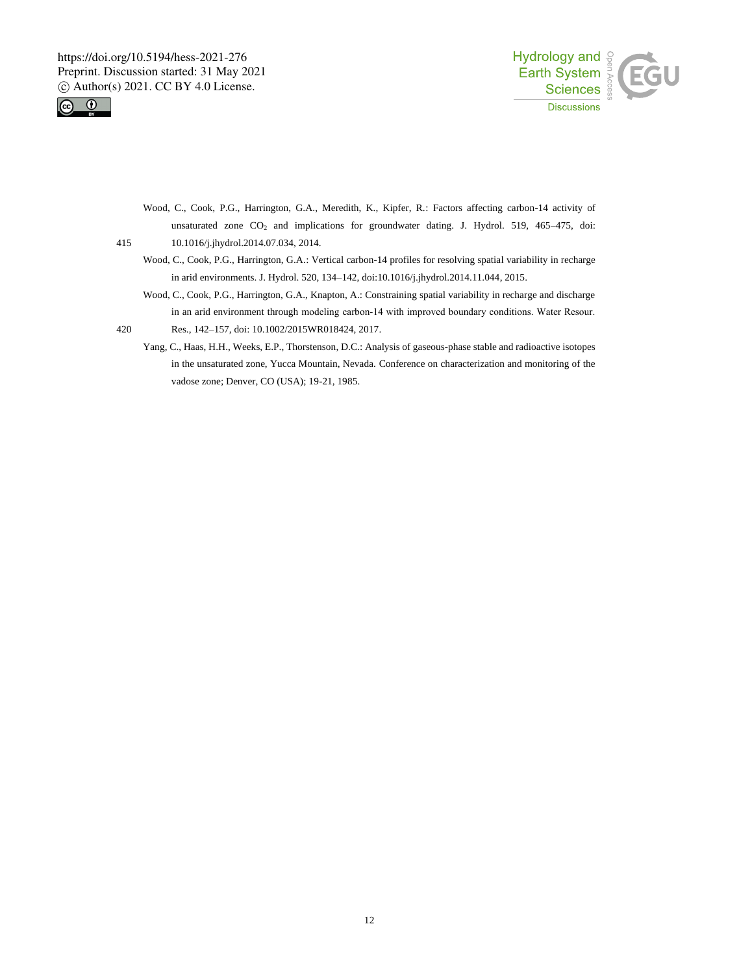



Wood, C., Cook, P.G., Harrington, G.A., Meredith, K., Kipfer, R.: Factors affecting carbon-14 activity of unsaturated zone CO<sub>2</sub> and implications for groundwater dating. J. Hydrol. 519, 465-475, doi: 415 10.1016/j.jhydrol.2014.07.034, 2014.

- Wood, C., Cook, P.G., Harrington, G.A.: Vertical carbon-14 profiles for resolving spatial variability in recharge in arid environments. J. Hydrol. 520, 134–142, doi:10.1016/j.jhydrol.2014.11.044, 2015.
- Wood, C., Cook, P.G., Harrington, G.A., Knapton, A.: Constraining spatial variability in recharge and discharge in an arid environment through modeling carbon‐14 with improved boundary conditions. Water Resour.
- 420 Res., 142–157, doi: 10.1002/2015WR018424, 2017.
	- Yang, C., Haas, H.H., Weeks, E.P., Thorstenson, D.C.: Analysis of gaseous-phase stable and radioactive isotopes in the unsaturated zone, Yucca Mountain, Nevada. Conference on characterization and monitoring of the vadose zone; Denver, CO (USA); 19-21, 1985.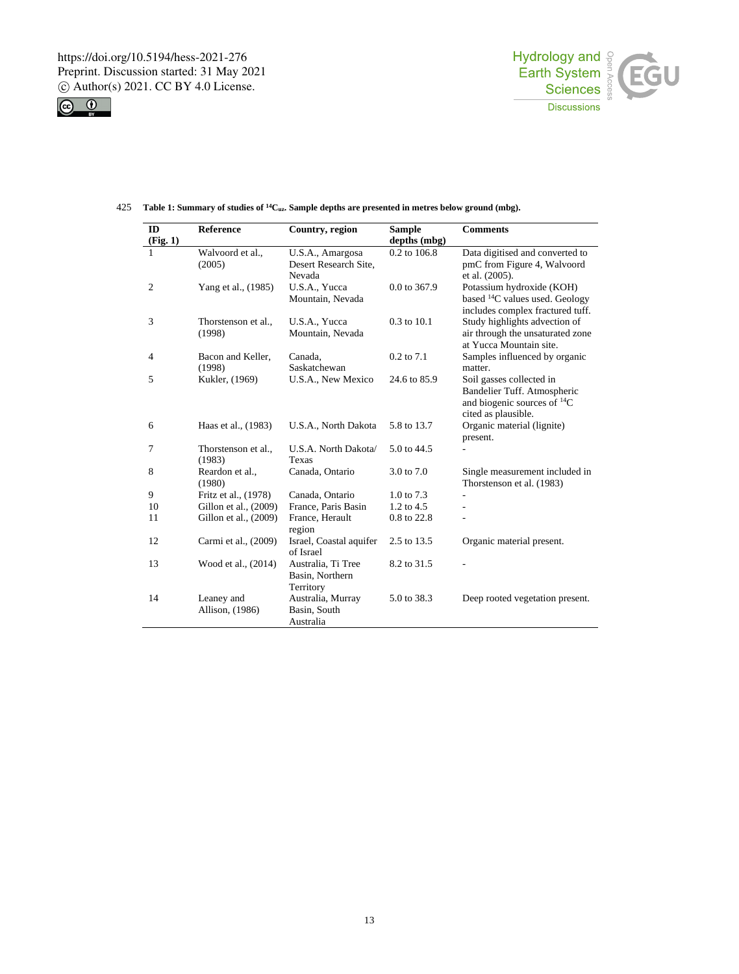



| ID             | <b>Reference</b>      | Country, region         | <b>Sample</b>  | <b>Comments</b>                       |
|----------------|-----------------------|-------------------------|----------------|---------------------------------------|
| (Fig. 1)       |                       |                         | depths (mbg)   |                                       |
|                | Walvoord et al.,      | U.S.A., Amargosa        | 0.2 to 106.8   | Data digitised and converted to       |
|                | (2005)                | Desert Research Site,   |                | pmC from Figure 4, Walvoord           |
|                |                       | Nevada                  |                | et al. (2005).                        |
| $\overline{2}$ | Yang et al., (1985)   | U.S.A., Yucca           | 0.0 to 367.9   | Potassium hydroxide (KOH)             |
|                |                       | Mountain, Nevada        |                | based ${}^{14}C$ values used. Geology |
|                |                       |                         |                | includes complex fractured tuff.      |
| 3              | Thorstenson et al.,   | U.S.A., Yucca           | 0.3 to 10.1    | Study highlights advection of         |
|                | (1998)                | Mountain, Nevada        |                | air through the unsaturated zone      |
|                |                       |                         |                | at Yucca Mountain site.               |
| $\overline{4}$ | Bacon and Keller,     | Canada.                 | $0.2$ to $7.1$ | Samples influenced by organic         |
|                | (1998)                | Saskatchewan            |                | matter.                               |
| 5              | Kukler, (1969)        | U.S.A., New Mexico      | 24.6 to 85.9   | Soil gasses collected in              |
|                |                       |                         |                | Bandelier Tuff. Atmospheric           |
|                |                       |                         |                | and biogenic sources of ${}^{14}C$    |
|                |                       |                         |                | cited as plausible.                   |
| 6              | Haas et al., (1983)   | U.S.A., North Dakota    | 5.8 to 13.7    | Organic material (lignite)            |
|                |                       |                         |                | present.                              |
| 7              | Thorstenson et al.,   | U.S.A. North Dakota/    | 5.0 to 44.5    |                                       |
|                | (1983)                | Texas                   |                |                                       |
| 8              | Reardon et al.,       | Canada, Ontario         | 3.0 to 7.0     | Single measurement included in        |
|                | (1980)                |                         |                | Thorstenson et al. (1983)             |
| 9              | Fritz et al., (1978)  | Canada, Ontario         | 1.0 to 7.3     | L                                     |
| 10             | Gillon et al., (2009) | France, Paris Basin     | 1.2 to 4.5     |                                       |
| 11             | Gillon et al., (2009) | France, Herault         | 0.8 to 22.8    |                                       |
|                |                       | region                  |                |                                       |
| 12             | Carmi et al., (2009)  | Israel, Coastal aquifer | 2.5 to 13.5    | Organic material present.             |
|                |                       | of Israel               |                |                                       |
| 13             | Wood et al., (2014)   | Australia, Ti Tree      | 8.2 to 31.5    |                                       |
|                |                       | Basin, Northern         |                |                                       |
|                |                       | Territory               |                |                                       |
| 14             | Leaney and            | Australia, Murray       | 5.0 to 38.3    | Deep rooted vegetation present.       |
|                | Allison, (1986)       | Basin, South            |                |                                       |
|                |                       | Australia               |                |                                       |

# **Table 1: Summary of studies of** 425 **<sup>14</sup>Cuz. Sample depths are presented in metres below ground (mbg).**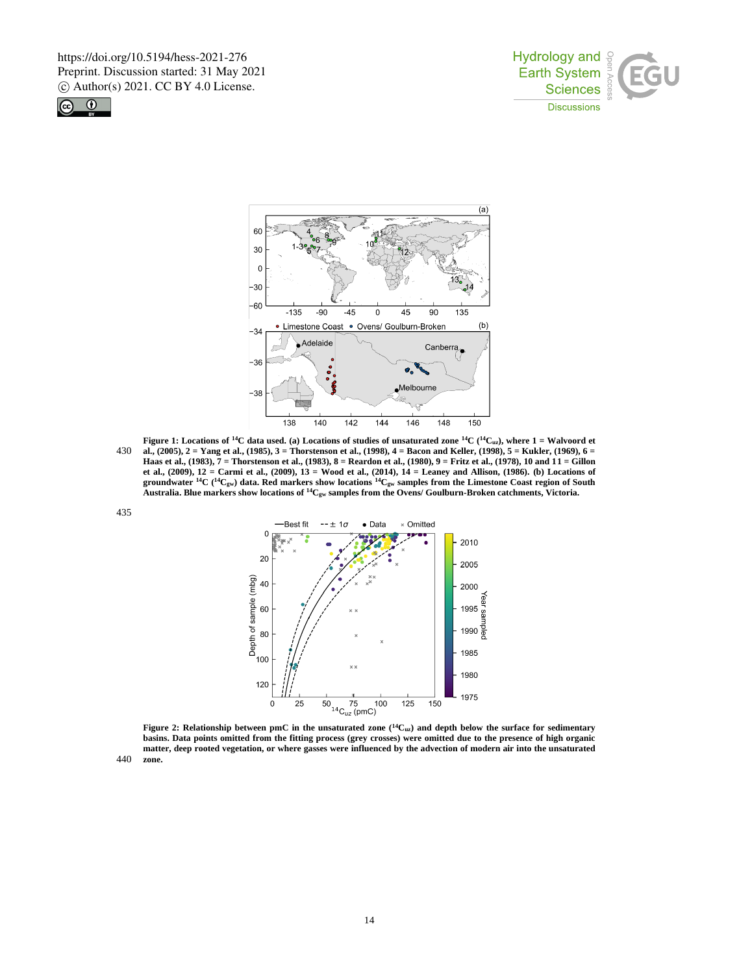





**Figure 1:** Locations of <sup>14</sup>C data used. (a) Locations of studies of unsaturated zone <sup>14</sup>C (<sup>14</sup>C<sub>uz</sub>), where 1 = Walvoord et 430 **al., (2005), 2 = Yang et al., (1985), 3 = Thorstenson et al., (1998), 4 = Bacon and Keller, (1998), 5 = Kukler, (1969), 6 = Haas et al., (1983), 7 = Thorstenson et al., (1983), 8 = Reardon et al., (1980), 9 = Fritz et al., (1978), 10 and 11 = Gillon et al., (2009), 12 = Carmi et al., (2009), 13 = Wood et al., (2014), 14 = Leaney and Allison, (1986). (b) Locations of groundwater <sup>14</sup>C ( <sup>14</sup>Cgw) data. Red markers show locations <sup>14</sup>Cgw samples from the Limestone Coast region of South Australia. Blue markers show locations of <sup>14</sup>Cgw samples from the Ovens/ Goulburn-Broken catchments, Victoria.**



**Figure 2: Relationship between pmC in the unsaturated zone**  $(^{14}C_{uz})$  **and depth below the surface for sedimentary basins. Data points omitted from the fitting process (grey crosses) were omitted due to the presence of high organic matter, deep rooted vegetation, or where gasses were influenced by the advection of modern air into the unsaturated** 

440 **zone.**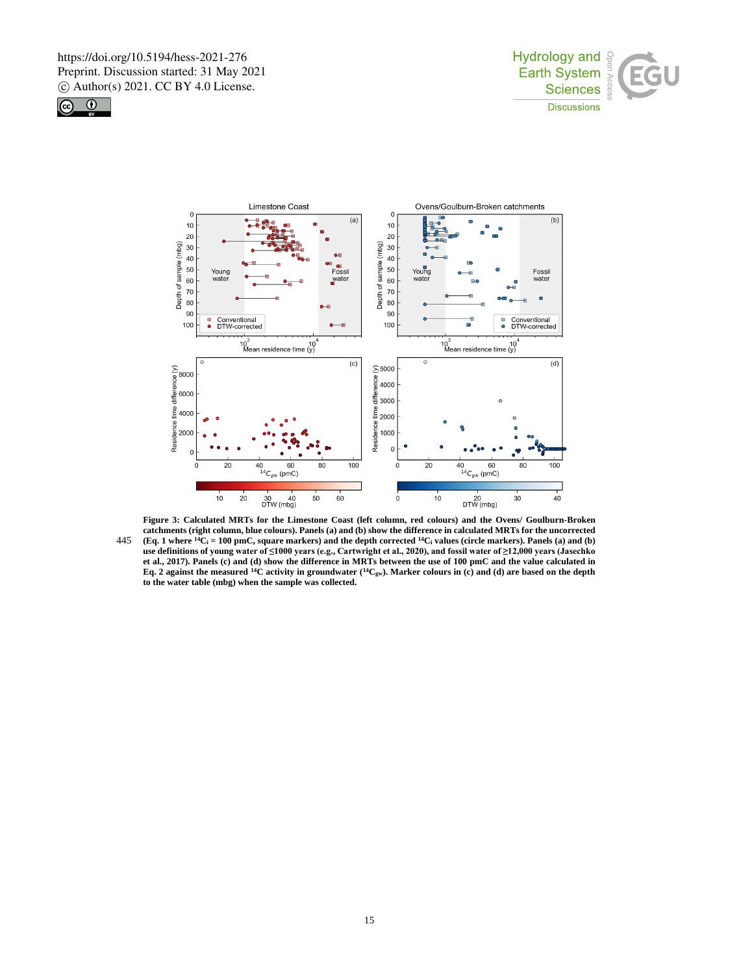





**Figure 3: Calculated MRTs for the Limestone Coast (left column, red colours) and the Ovens/ Goulburn-Broken catchments (right column, blue colours). Panels (a) and (b) show the difference in calculated MRTs for the uncorrected 445 (Eq. 1 where**  ${}^{14}C_1 = 100$  **pmC, square markers) and the depth corrected**  ${}^{14}C_1$  **values (circle markers). Panels (a) and (b) use definitions of young water of ≤1000 years (e.g., Cartwright et al., 2020), and fossil water of ≥12,000 years (Jasechko et al., 2017). Panels (c) and (d) show the difference in MRTs between the use of 100 pmC and the value calculated in Eq. 2 against the measured <sup>14</sup>C activity in groundwater (<sup>14</sup>Cgw). Marker colours in (c) and (d) are based on the depth to the water table (mbg) when the sample was collected.**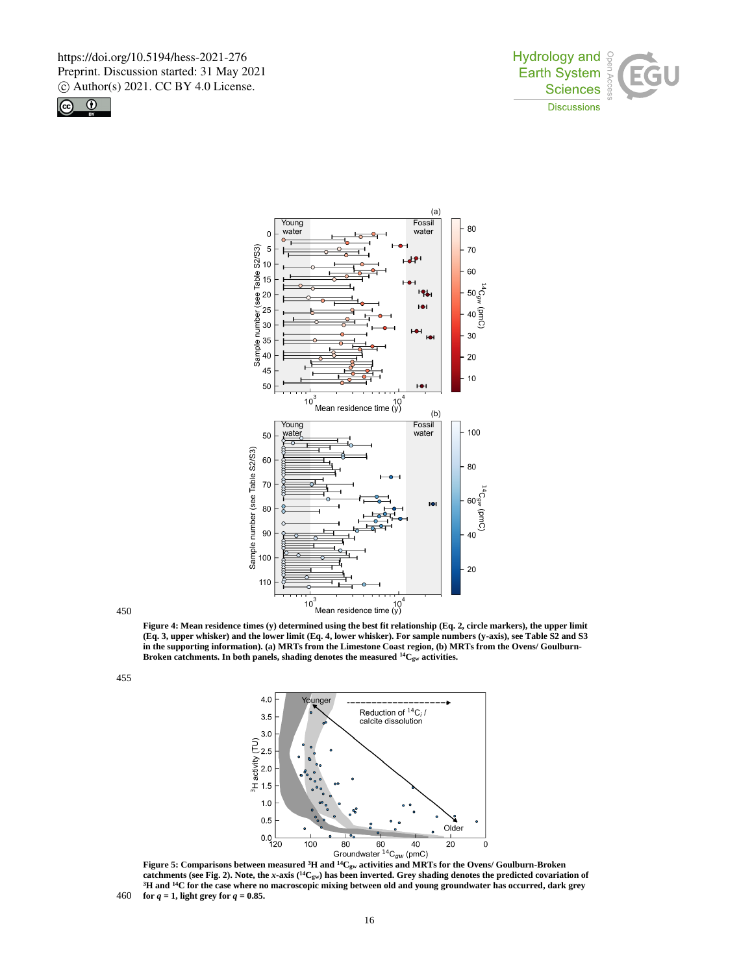





450

455

**(Eq. 3, upper whisker) and the lower limit (Eq. 4, lower whisker). For sample numbers (y-axis), see Table S2 and S3 in the supporting information). (a) MRTs from the Limestone Coast region, (b) MRTs from the Ovens/ Goulburn-Broken catchments. In both panels, shading denotes the measured <sup>14</sup>Cgw activities.**



catchments (see Fig. 2). Note, the *x*-axis ( $^{14}C_{gw}$ ) has been inverted. Grey shading denotes the predicted covariation of **<sup>3</sup>H and <sup>14</sup>C for the case where no macroscopic mixing between old and young groundwater has occurred, dark grey**  460 **for**  $q = 1$ **, light grey for**  $q = 0.85$ **.**